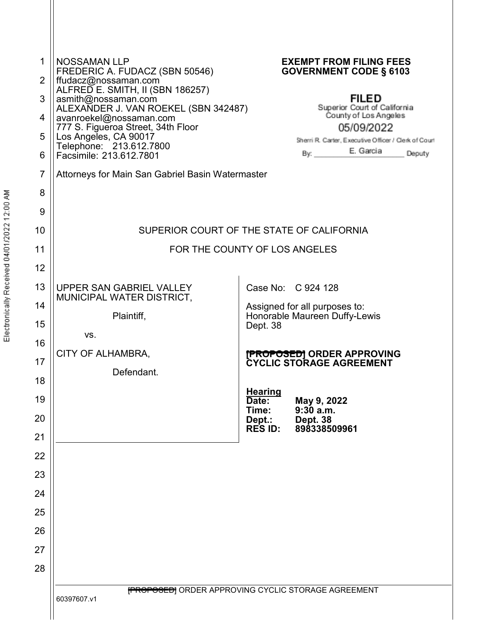| 1<br>2   | <b>NOSSAMAN LLP</b><br>FREDERIC A. FUDACZ (SBN 50546)                            | <b>EXEMPT FROM FILING FEES</b><br><b>GOVERNMENT CODE § 6103</b>                                    |
|----------|----------------------------------------------------------------------------------|----------------------------------------------------------------------------------------------------|
| 3        | ffudacz@nossaman.com`<br>ALFRED E. SMITH, II (SBN 186257)<br>asmith@nossaman.com | <b>FILED</b>                                                                                       |
| 4        | ALEXANDER J. VAN ROEKEL (SBN 342487)<br>avanroekel@nossaman.com                  | Superior Court of California<br>County of Los Angeles                                              |
| 5        | 777 S. Figueroa Street, 34th Floor<br>Los Angeles, CA 90017                      | 05/09/2022                                                                                         |
| 6        | Telephone: 213.612.7800<br>Facsimile: 213.612.7801                               | Sherri R. Carter, Executive Officer / Clerk of Court<br>E. Garcia<br>By: $\qquad \qquad$<br>Deputy |
| 7        | Attorneys for Main San Gabriel Basin Watermaster                                 |                                                                                                    |
| 8        |                                                                                  |                                                                                                    |
| 9        |                                                                                  |                                                                                                    |
| 10       |                                                                                  | SUPERIOR COURT OF THE STATE OF CALIFORNIA                                                          |
| 11       |                                                                                  | FOR THE COUNTY OF LOS ANGELES                                                                      |
| 12       |                                                                                  |                                                                                                    |
| 13       | UPPER SAN GABRIEL VALLEY                                                         | Case No: C 924 128                                                                                 |
| 14       | MUNICIPAL WATER DISTRICT,                                                        | Assigned for all purposes to:                                                                      |
| 15       | Plaintiff,                                                                       | Honorable Maureen Duffy-Lewis<br>Dept. 38                                                          |
| 16       | VS.                                                                              |                                                                                                    |
| 17       | CITY OF ALHAMBRA,                                                                | <b>[PROPOSED]</b> ORDER APPROVING<br><b>CYCLIC STORAGE AGREEMENT</b>                               |
| 18       | Defendant.                                                                       |                                                                                                    |
| 19       |                                                                                  | <b>Hearing</b><br>Date:<br>May 9, 2022<br>9:30 a.m.<br>Time:                                       |
| 20       |                                                                                  | Dept.:<br>Dept. 38<br><b>RES ID:</b><br>898338509961                                               |
| 21       |                                                                                  |                                                                                                    |
| 22       |                                                                                  |                                                                                                    |
| 23       |                                                                                  |                                                                                                    |
| 24       |                                                                                  |                                                                                                    |
| 25       |                                                                                  |                                                                                                    |
| 26       |                                                                                  |                                                                                                    |
| 27<br>28 |                                                                                  |                                                                                                    |
|          |                                                                                  |                                                                                                    |
|          | 60397607.v1                                                                      | <b>FROPOSED</b> ORDER APPROVING CYCLIC STORAGE AGREEMENT                                           |
|          |                                                                                  |                                                                                                    |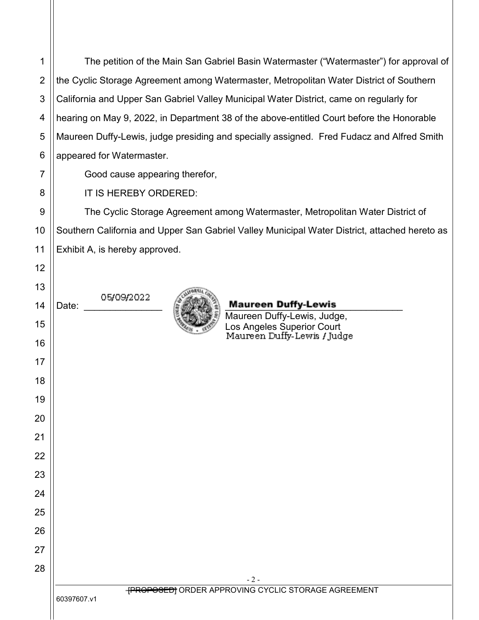The petition of the Main San Gabriel Basin Watermaster ("Watermaster") for approval of the Cyclic Storage Agreement among Watermaster, Metropolitan Water District of Southern California and Upper San Gabriel Valley Municipal Water District, came on regularly for hearing on May 9, 2022, in Department 38 of the above-entitled Court before the Honorable Maureen Duffy-Lewis, judge presiding and specially assigned. Fred Fudacz and Alfred Smith appeared for Watermaster.

Good cause appearing therefor,

IT IS HEREBY ORDERED:

The Cyclic Storage Agreement among Watermaster, Metropolitan Water District of Southern California and Upper San Gabriel Valley Municipal Water District, attached hereto as Exhibit A, is hereby approved.

> - 2 - **FROPOSED** ORDER APPROVING CYCLIC STORAGE AGREEMENT

60397607.v1

05/09/2022



Date:  $\sum_{k}$  Maureen Duffy-Lewis

Maureen Duffy-Lewis, Judge, Los Angeles Superior Court<br>Maureen Duffy-Lewis / Judge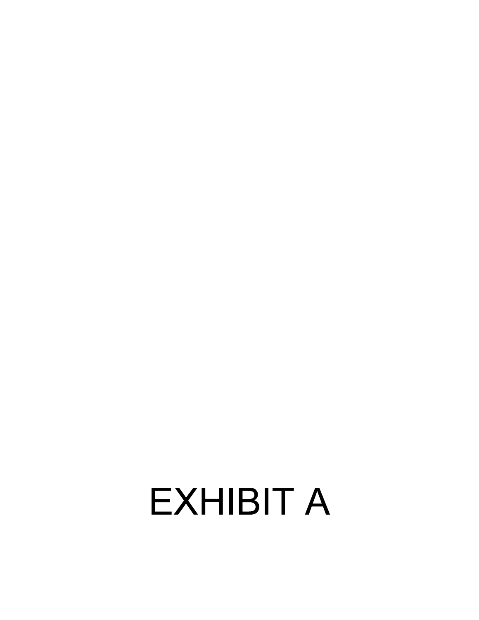# **EXHIBIT A**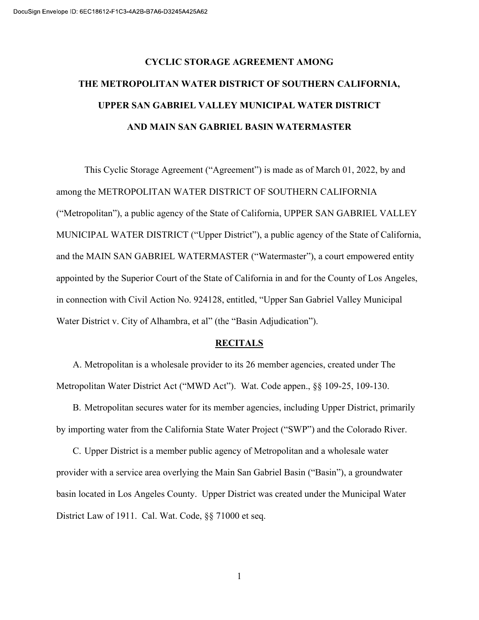# CYCLIC STORAGE AGREEMENT AMONG THE METROPOLITAN WATER DISTRICT OF SOUTHERN CALIFORNIA, UPPER SAN GABRIEL VALLEY MUNICIPAL WATER DISTRICT AND MAIN SAN GABRIEL BASIN WATERMASTER

This Cyclic Storage Agreement ("Agreement") is made as of March 01, 2022, by and among the METROPOLITAN WATER DISTRICT OF SOUTHERN CALIFORNIA ("Metropolitan"), a public agency of the State of California, UPPER SAN GABRIEL VALLEY MUNICIPAL WATER DISTRICT ("Upper District"), a public agency of the State of California, and the MAIN SAN GABRIEL WATERMASTER ("Watermaster"), a court empowered entity appointed by the Superior Court of the State of California in and for the County of Los Angeles, in connection with Civil Action No. 924128, entitled, "Upper San Gabriel Valley Municipal Water District v. City of Alhambra, et al" (the "Basin Adjudication").

#### **RECITALS**

A. Metropolitan is a wholesale provider to its 26 member agencies, created under The Metropolitan Water District Act ("MWD Act"). Wat. Code appen., §§ 109-25, 109-130.

B. Metropolitan secures water for its member agencies, including Upper District, primarily by importing water from the California State Water Project ("SWP") and the Colorado River.

C. Upper District is a member public agency of Metropolitan and a wholesale water provider with a service area overlying the Main San Gabriel Basin ("Basin"), a groundwater basin located in Los Angeles County. Upper District was created under the Municipal Water District Law of 1911. Cal. Wat. Code, §§ 71000 et seq.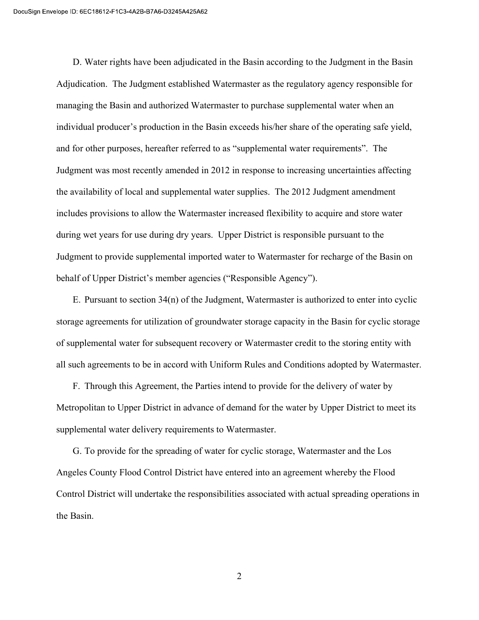D. Water rights have been adjudicated in the Basin according to the Judgment in the Basin Adjudication. The Judgment established Watermaster as the regulatory agency responsible for managing the Basin and authorized Watermaster to purchase supplemental water when an individual producer's production in the Basin exceeds his/her share of the operating safe yield, and for other purposes, hereafter referred to as "supplemental water requirements". The Judgment was most recently amended in 2012 in response to increasing uncertainties affecting the availability of local and supplemental water supplies. The 2012 Judgment amendment includes provisions to allow the Watermaster increased flexibility to acquire and store water during wet years for use during dry years. Upper District is responsible pursuant to the Judgment to provide supplemental imported water to Watermaster for recharge of the Basin on behalf of Upper District's member agencies ("Responsible Agency").

E. Pursuant to section 34(n) of the Judgment, Watermaster is authorized to enter into cyclic storage agreements for utilization of groundwater storage capacity in the Basin for cyclic storage of supplemental water for subsequent recovery or Watermaster credit to the storing entity with all such agreements to be in accord with Uniform Rules and Conditions adopted by Watermaster.

F. Through this Agreement, the Parties intend to provide for the delivery of water by Metropolitan to Upper District in advance of demand for the water by Upper District to meet its supplemental water delivery requirements to Watermaster.

G. To provide for the spreading of water for cyclic storage, Watermaster and the Los Angeles County Flood Control District have entered into an agreement whereby the Flood Control District will undertake the responsibilities associated with actual spreading operations in the Basin.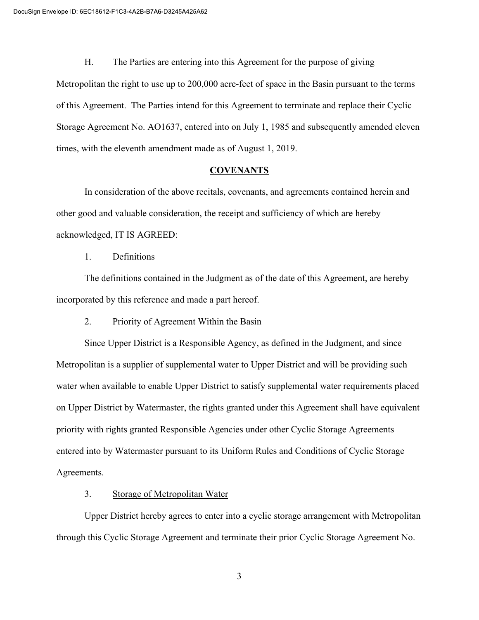H. The Parties are entering into this Agreement for the purpose of giving Metropolitan the right to use up to 200,000 acre-feet of space in the Basin pursuant to the terms of this Agreement. The Parties intend for this Agreement to terminate and replace their Cyclic Storage Agreement No. AO1637, entered into on July 1, 1985 and subsequently amended eleven times, with the eleventh amendment made as of August 1, 2019.

#### **COVENANTS**

In consideration of the above recitals, covenants, and agreements contained herein and other good and valuable consideration, the receipt and sufficiency of which are hereby acknowledged, IT IS AGREED:

#### 1. Definitions

The definitions contained in the Judgment as of the date of this Agreement, are hereby incorporated by this reference and made a part hereof.

#### 2. Priority of Agreement Within the Basin

Since Upper District is a Responsible Agency, as defined in the Judgment, and since Metropolitan is a supplier of supplemental water to Upper District and will be providing such water when available to enable Upper District to satisfy supplemental water requirements placed on Upper District by Watermaster, the rights granted under this Agreement shall have equivalent priority with rights granted Responsible Agencies under other Cyclic Storage Agreements entered into by Watermaster pursuant to its Uniform Rules and Conditions of Cyclic Storage Agreements.

#### 3. Storage of Metropolitan Water

Upper District hereby agrees to enter into a cyclic storage arrangement with Metropolitan through this Cyclic Storage Agreement and terminate their prior Cyclic Storage Agreement No.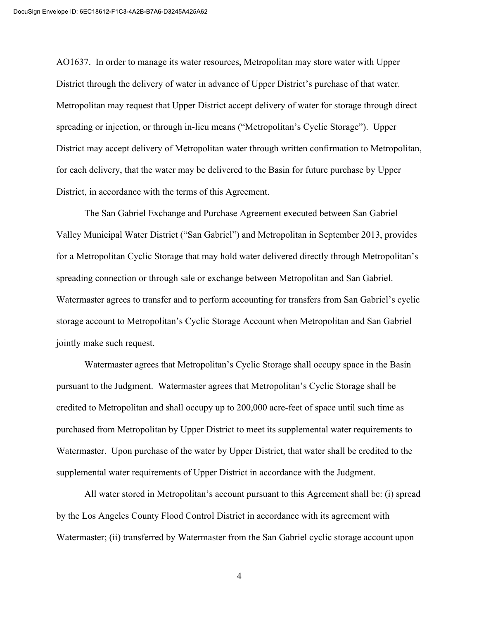AO1637. In order to manage its water resources, Metropolitan may store water with Upper District through the delivery of water in advance of Upper District's purchase of that water. Metropolitan may request that Upper District accept delivery of water for storage through direct spreading or injection, or through in-lieu means ("Metropolitan's Cyclic Storage"). Upper District may accept delivery of Metropolitan water through written confirmation to Metropolitan, for each delivery, that the water may be delivered to the Basin for future purchase by Upper District, in accordance with the terms of this Agreement.

The San Gabriel Exchange and Purchase Agreement executed between San Gabriel Valley Municipal Water District ("San Gabriel") and Metropolitan in September 2013, provides for a Metropolitan Cyclic Storage that may hold water delivered directly through Metropolitan's spreading connection or through sale or exchange between Metropolitan and San Gabriel. Watermaster agrees to transfer and to perform accounting for transfers from San Gabriel's cyclic storage account to Metropolitan's Cyclic Storage Account when Metropolitan and San Gabriel jointly make such request.

Watermaster agrees that Metropolitan's Cyclic Storage shall occupy space in the Basin pursuant to the Judgment. Watermaster agrees that Metropolitan's Cyclic Storage shall be credited to Metropolitan and shall occupy up to 200,000 acre-feet of space until such time as purchased from Metropolitan by Upper District to meet its supplemental water requirements to Watermaster. Upon purchase of the water by Upper District, that water shall be credited to the supplemental water requirements of Upper District in accordance with the Judgment.

All water stored in Metropolitan's account pursuant to this Agreement shall be: (i) spread by the Los Angeles County Flood Control District in accordance with its agreement with Watermaster; (ii) transferred by Watermaster from the San Gabriel cyclic storage account upon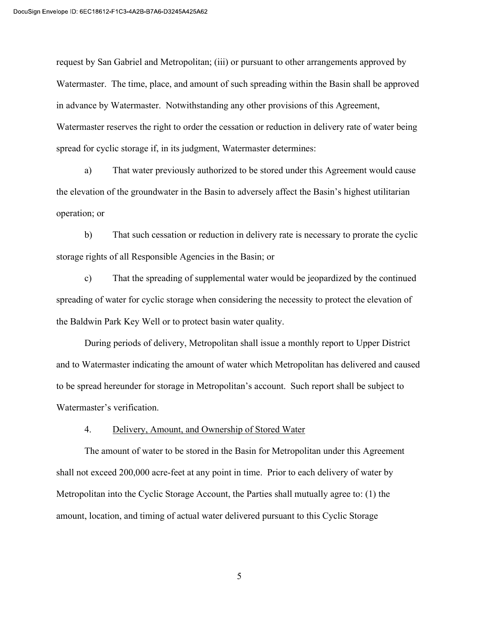request by San Gabriel and Metropolitan; (iii) or pursuant to other arrangements approved by Watermaster. The time, place, and amount of such spreading within the Basin shall be approved in advance by Watermaster. Notwithstanding any other provisions of this Agreement, Watermaster reserves the right to order the cessation or reduction in delivery rate of water being spread for cyclic storage if, in its judgment, Watermaster determines:

a) That water previously authorized to be stored under this Agreement would cause the elevation of the groundwater in the Basin to adversely affect the Basin's highest utilitarian operation; or

b) That such cessation or reduction in delivery rate is necessary to prorate the cyclic storage rights of all Responsible Agencies in the Basin; or

c) That the spreading of supplemental water would be jeopardized by the continued spreading of water for cyclic storage when considering the necessity to protect the elevation of the Baldwin Park Key Well or to protect basin water quality.

During periods of delivery, Metropolitan shall issue a monthly report to Upper District and to Watermaster indicating the amount of water which Metropolitan has delivered and caused to be spread hereunder for storage in Metropolitan's account. Such report shall be subject to Watermaster's verification.

#### 4. Delivery, Amount, and Ownership of Stored Water

The amount of water to be stored in the Basin for Metropolitan under this Agreement shall not exceed 200,000 acre-feet at any point in time. Prior to each delivery of water by Metropolitan into the Cyclic Storage Account, the Parties shall mutually agree to: (1) the amount, location, and timing of actual water delivered pursuant to this Cyclic Storage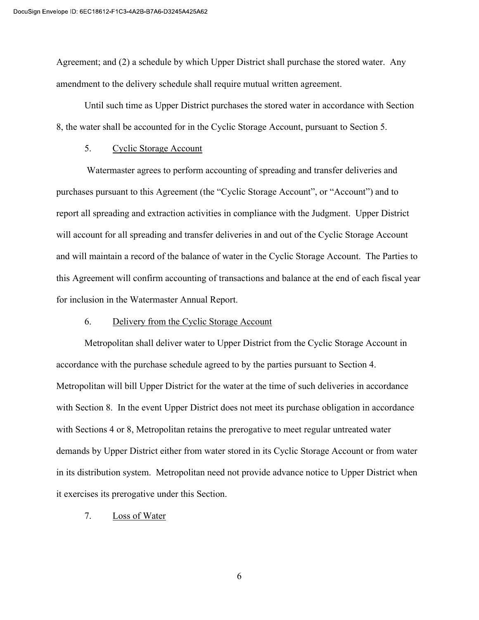Agreement; and (2) a schedule by which Upper District shall purchase the stored water. Any amendment to the delivery schedule shall require mutual written agreement.

Until such time as Upper District purchases the stored water in accordance with Section 8, the water shall be accounted for in the Cyclic Storage Account, pursuant to Section 5.

#### 5. Cyclic Storage Account

 Watermaster agrees to perform accounting of spreading and transfer deliveries and purchases pursuant to this Agreement (the "Cyclic Storage Account", or "Account") and to report all spreading and extraction activities in compliance with the Judgment. Upper District will account for all spreading and transfer deliveries in and out of the Cyclic Storage Account and will maintain a record of the balance of water in the Cyclic Storage Account. The Parties to this Agreement will confirm accounting of transactions and balance at the end of each fiscal year for inclusion in the Watermaster Annual Report.

#### 6. Delivery from the Cyclic Storage Account

Metropolitan shall deliver water to Upper District from the Cyclic Storage Account in accordance with the purchase schedule agreed to by the parties pursuant to Section 4. Metropolitan will bill Upper District for the water at the time of such deliveries in accordance with Section 8. In the event Upper District does not meet its purchase obligation in accordance with Sections 4 or 8, Metropolitan retains the prerogative to meet regular untreated water demands by Upper District either from water stored in its Cyclic Storage Account or from water in its distribution system. Metropolitan need not provide advance notice to Upper District when it exercises its prerogative under this Section.

#### 7. Loss of Water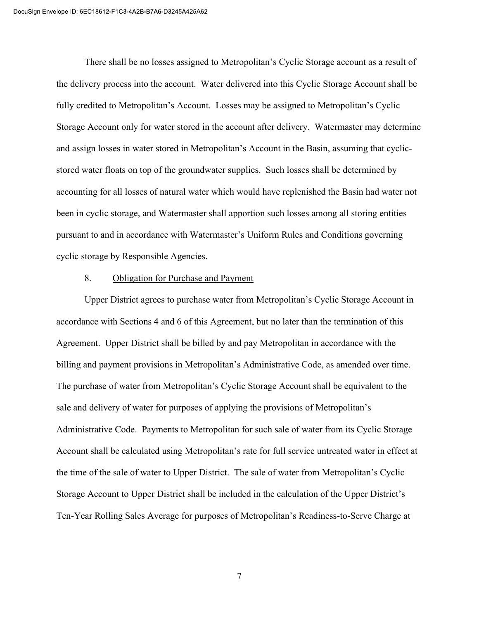There shall be no losses assigned to Metropolitan's Cyclic Storage account as a result of the delivery process into the account. Water delivered into this Cyclic Storage Account shall be fully credited to Metropolitan's Account. Losses may be assigned to Metropolitan's Cyclic Storage Account only for water stored in the account after delivery. Watermaster may determine and assign losses in water stored in Metropolitan's Account in the Basin, assuming that cyclicstored water floats on top of the groundwater supplies. Such losses shall be determined by accounting for all losses of natural water which would have replenished the Basin had water not been in cyclic storage, and Watermaster shall apportion such losses among all storing entities pursuant to and in accordance with Watermaster's Uniform Rules and Conditions governing cyclic storage by Responsible Agencies.

#### 8. Obligation for Purchase and Payment

Upper District agrees to purchase water from Metropolitan's Cyclic Storage Account in accordance with Sections 4 and 6 of this Agreement, but no later than the termination of this Agreement. Upper District shall be billed by and pay Metropolitan in accordance with the billing and payment provisions in Metropolitan's Administrative Code, as amended over time. The purchase of water from Metropolitan's Cyclic Storage Account shall be equivalent to the sale and delivery of water for purposes of applying the provisions of Metropolitan's Administrative Code. Payments to Metropolitan for such sale of water from its Cyclic Storage Account shall be calculated using Metropolitan's rate for full service untreated water in effect at the time of the sale of water to Upper District. The sale of water from Metropolitan's Cyclic Storage Account to Upper District shall be included in the calculation of the Upper District's Ten-Year Rolling Sales Average for purposes of Metropolitan's Readiness-to-Serve Charge at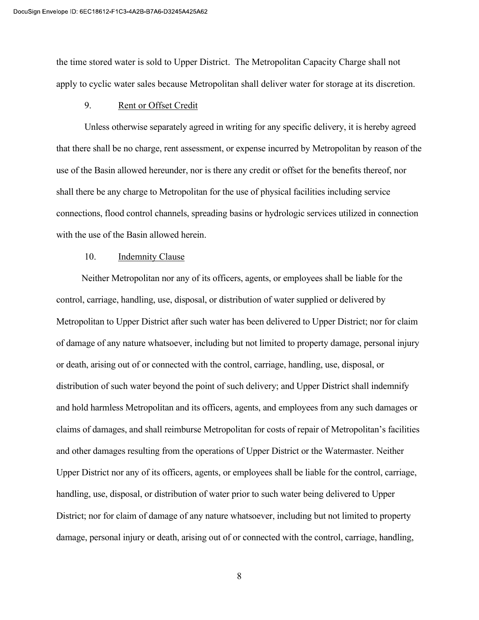the time stored water is sold to Upper District. The Metropolitan Capacity Charge shall not apply to cyclic water sales because Metropolitan shall deliver water for storage at its discretion.

#### 9. Rent or Offset Credit

Unless otherwise separately agreed in writing for any specific delivery, it is hereby agreed that there shall be no charge, rent assessment, or expense incurred by Metropolitan by reason of the use of the Basin allowed hereunder, nor is there any credit or offset for the benefits thereof, nor shall there be any charge to Metropolitan for the use of physical facilities including service connections, flood control channels, spreading basins or hydrologic services utilized in connection with the use of the Basin allowed herein.

#### 10. Indemnity Clause

Neither Metropolitan nor any of its officers, agents, or employees shall be liable for the control, carriage, handling, use, disposal, or distribution of water supplied or delivered by Metropolitan to Upper District after such water has been delivered to Upper District; nor for claim of damage of any nature whatsoever, including but not limited to property damage, personal injury or death, arising out of or connected with the control, carriage, handling, use, disposal, or distribution of such water beyond the point of such delivery; and Upper District shall indemnify and hold harmless Metropolitan and its officers, agents, and employees from any such damages or claims of damages, and shall reimburse Metropolitan for costs of repair of Metropolitan's facilities and other damages resulting from the operations of Upper District or the Watermaster. Neither Upper District nor any of its officers, agents, or employees shall be liable for the control, carriage, handling, use, disposal, or distribution of water prior to such water being delivered to Upper District; nor for claim of damage of any nature whatsoever, including but not limited to property damage, personal injury or death, arising out of or connected with the control, carriage, handling,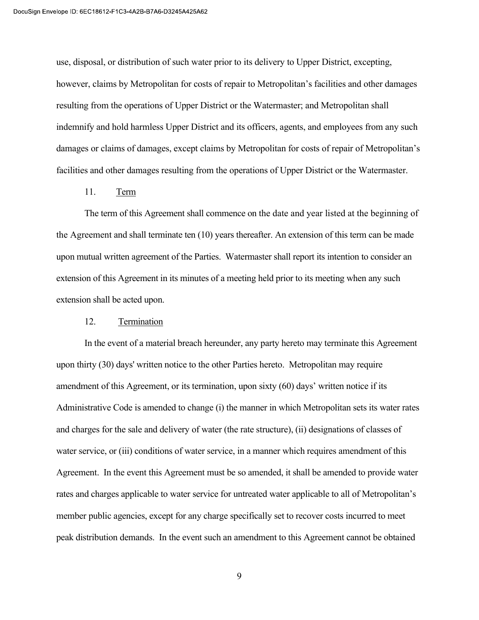use, disposal, or distribution of such water prior to its delivery to Upper District, excepting, however, claims by Metropolitan for costs of repair to Metropolitan's facilities and other damages resulting from the operations of Upper District or the Watermaster; and Metropolitan shall indemnify and hold harmless Upper District and its officers, agents, and employees from any such damages or claims of damages, except claims by Metropolitan for costs of repair of Metropolitan's facilities and other damages resulting from the operations of Upper District or the Watermaster.

## 11. Term

The term of this Agreement shall commence on the date and year listed at the beginning of the Agreement and shall terminate ten (10) years thereafter. An extension of this term can be made upon mutual written agreement of the Parties. Watermaster shall report its intention to consider an extension of this Agreement in its minutes of a meeting held prior to its meeting when any such extension shall be acted upon.

#### 12. Termination

In the event of a material breach hereunder, any party hereto may terminate this Agreement upon thirty (30) days' written notice to the other Parties hereto. Metropolitan may require amendment of this Agreement, or its termination, upon sixty (60) days' written notice if its Administrative Code is amended to change (i) the manner in which Metropolitan sets its water rates and charges for the sale and delivery of water (the rate structure), (ii) designations of classes of water service, or (iii) conditions of water service, in a manner which requires amendment of this Agreement. In the event this Agreement must be so amended, it shall be amended to provide water rates and charges applicable to water service for untreated water applicable to all of Metropolitan's member public agencies, except for any charge specifically set to recover costs incurred to meet peak distribution demands. In the event such an amendment to this Agreement cannot be obtained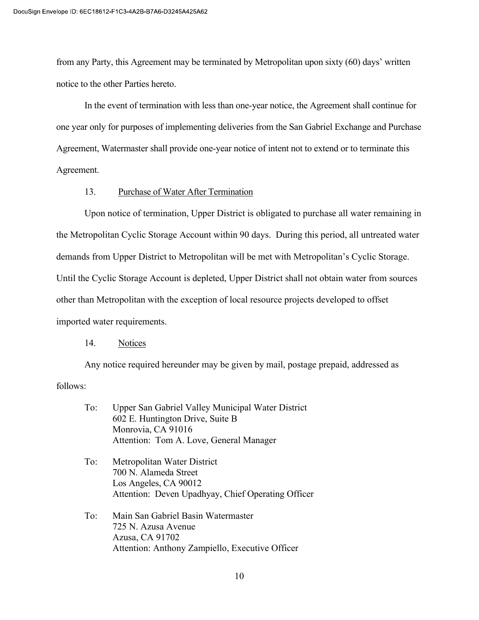from any Party, this Agreement may be terminated by Metropolitan upon sixty (60) days' written notice to the other Parties hereto.

In the event of termination with less than one-year notice, the Agreement shall continue for one year only for purposes of implementing deliveries from the San Gabriel Exchange and Purchase Agreement, Watermaster shall provide one-year notice of intent not to extend or to terminate this Agreement.

#### 13. Purchase of Water After Termination

Upon notice of termination, Upper District is obligated to purchase all water remaining in the Metropolitan Cyclic Storage Account within 90 days. During this period, all untreated water demands from Upper District to Metropolitan will be met with Metropolitan's Cyclic Storage. Until the Cyclic Storage Account is depleted, Upper District shall not obtain water from sources other than Metropolitan with the exception of local resource projects developed to offset imported water requirements.

#### 14. Notices

Any notice required hereunder may be given by mail, postage prepaid, addressed as follows:

| To: | Upper San Gabriel Valley Municipal Water District |
|-----|---------------------------------------------------|
|     | 602 E. Huntington Drive, Suite B                  |
|     | Monrovia, CA 91016                                |
|     | Attention: Tom A. Love, General Manager           |

- To: Metropolitan Water District 700 N. Alameda Street Los Angeles, CA 90012 Attention: Deven Upadhyay, Chief Operating Officer
- To: Main San Gabriel Basin Watermaster 725 N. Azusa Avenue Azusa, CA 91702 Attention: Anthony Zampiello, Executive Officer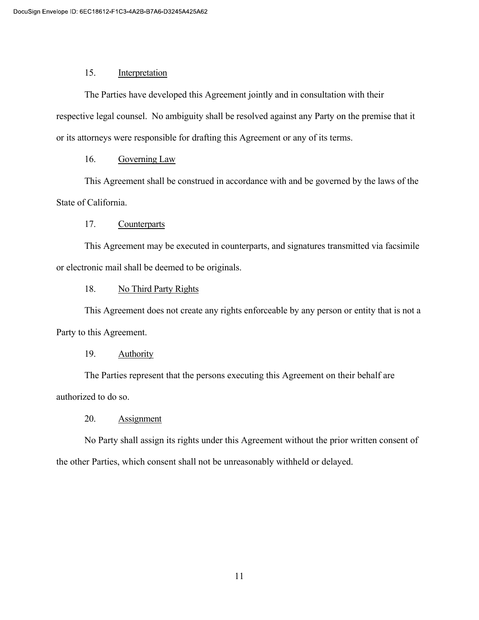## 15. Interpretation

The Parties have developed this Agreement jointly and in consultation with their respective legal counsel. No ambiguity shall be resolved against any Party on the premise that it or its attorneys were responsible for drafting this Agreement or any of its terms.

# 16. Governing Law

This Agreement shall be construed in accordance with and be governed by the laws of the State of California.

# 17. Counterparts

This Agreement may be executed in counterparts, and signatures transmitted via facsimile or electronic mail shall be deemed to be originals.

# 18. No Third Party Rights

This Agreement does not create any rights enforceable by any person or entity that is not a Party to this Agreement.

# 19. Authority

The Parties represent that the persons executing this Agreement on their behalf are authorized to do so.

# 20. Assignment

No Party shall assign its rights under this Agreement without the prior written consent of the other Parties, which consent shall not be unreasonably withheld or delayed.